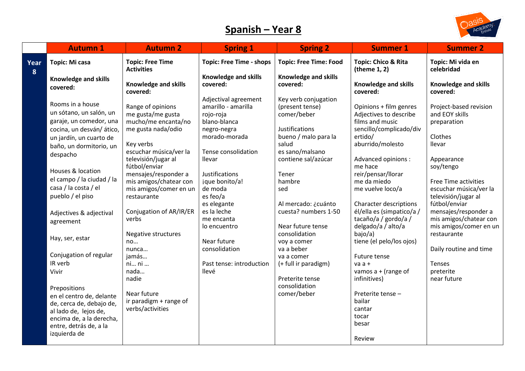## **Spanish – Year 8**



|           | <b>Autumn 1</b>           | <b>Autumn 2</b>                              | <b>Spring 1</b>                 | <b>Spring 2</b>               | <b>Summer 1</b>                     | <b>Summer 2</b>                 |
|-----------|---------------------------|----------------------------------------------|---------------------------------|-------------------------------|-------------------------------------|---------------------------------|
| Year<br>8 | Topic: Mi casa            | <b>Topic: Free Time</b><br><b>Activities</b> | <b>Topic: Free Time - shops</b> | <b>Topic: Free Time: Food</b> | Topic: Chico & Rita<br>(theme 1, 2) | Topic: Mi vida en<br>celebridad |
|           | Knowledge and skills      |                                              | <b>Knowledge and skills</b>     | <b>Knowledge and skills</b>   |                                     |                                 |
|           | covered:                  | <b>Knowledge and skills</b>                  | covered:                        | covered:                      | Knowledge and skills                | Knowledge and skills            |
|           |                           | covered:                                     |                                 |                               | covered:                            | covered:                        |
|           | Rooms in a house          |                                              | Adjectival agreement            | Key verb conjugation          |                                     |                                 |
|           |                           | Range of opinions                            | amarillo - amarilla             | (present tense)               | Opinions + film genres              | Project-based revision          |
|           | un sótano, un salón, un   | me gusta/me gusta                            | rojo-roja                       | comer/beber                   | Adjectives to describe              | and EOY skills                  |
|           | garaje, un comedor, una   | mucho/me encanta/no                          | blano-blanca                    |                               | films and music                     | preparation                     |
|           | cocina, un desván/ático,  | me gusta nada/odio                           | negro-negra                     | Justifications                | sencillo/complicado/div             |                                 |
|           | un jardín, un cuarto de   |                                              | morado-morada                   | bueno / malo para la          | ertido/                             | Clothes                         |
|           | baño, un dormitorio, un   | Key verbs                                    |                                 | salud                         | aburrido/molesto                    | llevar                          |
|           | despacho                  | escuchar música/ver la                       | Tense consolidation             | es sano/malsano               |                                     |                                 |
|           |                           | televisión/jugar al<br>fútbol/enviar         | llevar                          | contiene sal/azúcar           | Advanced opinions :<br>me hace      | Appearance                      |
|           | Houses & location         | mensajes/responder a                         | Justifications                  | Tener                         | reir/pensar/llorar                  | soy/tengo                       |
|           | el campo / la ciudad / la | mis amigos/chatear con                       | jque bonito/a!                  | hambre                        | me da miedo                         | Free Time activities            |
|           | casa / la costa / el      | mis amigos/comer en un                       | de moda                         | sed                           | me vuelve loco/a                    | escuchar música/ver la          |
|           | pueblo / el piso          | restaurante                                  | es feo/a                        |                               |                                     | televisión/jugar al             |
|           |                           |                                              | es elegante                     | Al mercado: ¿cuánto           | Character descriptions              | fútbol/enviar                   |
|           |                           | Conjugation of AR/IR/ER                      | es la leche                     | cuesta? numbers 1-50          | él/ella es (simpatico/a /           | mensajes/responder a            |
|           | Adjectives & adjectival   | verbs                                        | me encanta                      |                               | tacaño/a / gordo/a /                | mis amigos/chatear con          |
|           | agreement                 |                                              | lo encuentro                    | Near future tense             | delgado/a / alto/a                  | mis amigos/comer en un          |
|           |                           | Negative structures                          |                                 | consolidation                 | bajo/a)                             | restaurante                     |
|           | Hay, ser, estar           | no                                           | Near future                     | voy a comer                   | tiene (el pelo/los ojos)            |                                 |
|           |                           | $n$ unca $\dots$                             | consolidation                   | va a beber                    |                                     | Daily routine and time          |
|           | Conjugation of regular    | jamás                                        |                                 | va a comer                    | Future tense                        |                                 |
|           | IR verb                   | ni ni                                        | Past tense: introduction        | (+ full ir paradigm)          | $vaa +$                             | Tenses                          |
|           | Vivir                     | nada                                         | llevé                           |                               | vamos $a + (range of$               | preterite                       |
|           |                           | nadie                                        |                                 | Preterite tense               | infinitives)                        | near future                     |
|           | Prepositions              |                                              |                                 | consolidation                 |                                     |                                 |
|           | en el centro de, delante  | Near future                                  |                                 | comer/beber                   | Preterite tense -                   |                                 |
|           | de, cerca de, debajo de,  | ir paradigm + range of                       |                                 |                               | bailar                              |                                 |
|           | al lado de, lejos de,     | verbs/activities                             |                                 |                               | cantar                              |                                 |
|           | encima de, a la derecha,  |                                              |                                 |                               | tocar                               |                                 |
|           | entre, detrás de, a la    |                                              |                                 |                               | besar                               |                                 |
|           | izquierda de              |                                              |                                 |                               |                                     |                                 |
|           |                           |                                              |                                 |                               | Review                              |                                 |